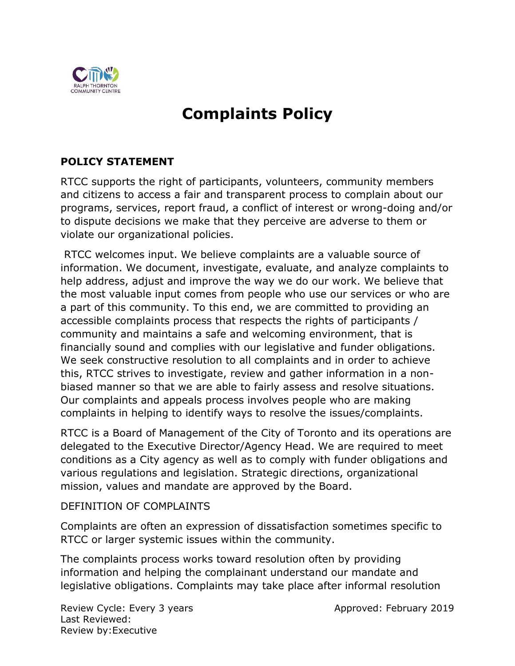

# **Complaints Policy**

# **POLICY STATEMENT**

RTCC supports the right of participants, volunteers, community members and citizens to access a fair and transparent process to complain about our programs, services, report fraud, a conflict of interest or wrong-doing and/or to dispute decisions we make that they perceive are adverse to them or violate our organizational policies.

RTCC welcomes input. We believe complaints are a valuable source of information. We document, investigate, evaluate, and analyze complaints to help address, adjust and improve the way we do our work. We believe that the most valuable input comes from people who use our services or who are a part of this community. To this end, we are committed to providing an accessible complaints process that respects the rights of participants / community and maintains a safe and welcoming environment, that is financially sound and complies with our legislative and funder obligations. We seek constructive resolution to all complaints and in order to achieve this, RTCC strives to investigate, review and gather information in a nonbiased manner so that we are able to fairly assess and resolve situations. Our complaints and appeals process involves people who are making complaints in helping to identify ways to resolve the issues/complaints.

RTCC is a Board of Management of the City of Toronto and its operations are delegated to the Executive Director/Agency Head. We are required to meet conditions as a City agency as well as to comply with funder obligations and various regulations and legislation. Strategic directions, organizational mission, values and mandate are approved by the Board.

#### DEFINITION OF COMPLAINTS

Complaints are often an expression of dissatisfaction sometimes specific to RTCC or larger systemic issues within the community.

The complaints process works toward resolution often by providing information and helping the complainant understand our mandate and legislative obligations. Complaints may take place after informal resolution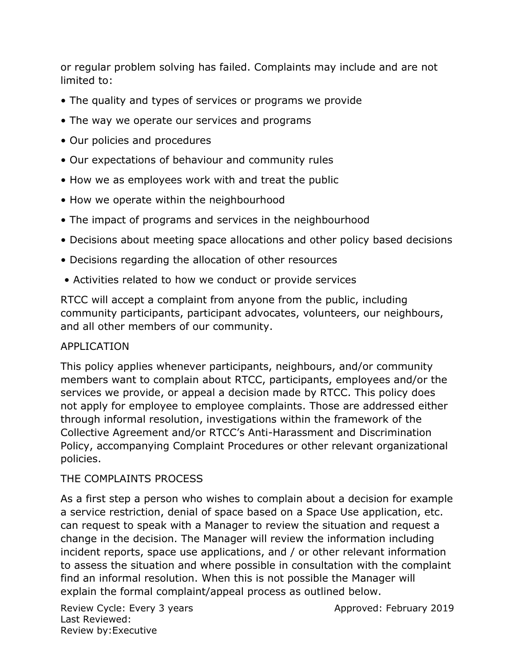or regular problem solving has failed. Complaints may include and are not limited to:

- The quality and types of services or programs we provide
- The way we operate our services and programs
- Our policies and procedures
- Our expectations of behaviour and community rules
- How we as employees work with and treat the public
- How we operate within the neighbourhood
- The impact of programs and services in the neighbourhood
- Decisions about meeting space allocations and other policy based decisions
- Decisions regarding the allocation of other resources
- Activities related to how we conduct or provide services

RTCC will accept a complaint from anyone from the public, including community participants, participant advocates, volunteers, our neighbours, and all other members of our community.

# APPLICATION

This policy applies whenever participants, neighbours, and/or community members want to complain about RTCC, participants, employees and/or the services we provide, or appeal a decision made by RTCC. This policy does not apply for employee to employee complaints. Those are addressed either through informal resolution, investigations within the framework of the Collective Agreement and/or RTCC's Anti-Harassment and Discrimination Policy, accompanying Complaint Procedures or other relevant organizational policies.

# THE COMPLAINTS PROCESS

As a first step a person who wishes to complain about a decision for example a service restriction, denial of space based on a Space Use application, etc. can request to speak with a Manager to review the situation and request a change in the decision. The Manager will review the information including incident reports, space use applications, and / or other relevant information to assess the situation and where possible in consultation with the complaint find an informal resolution. When this is not possible the Manager will explain the formal complaint/appeal process as outlined below.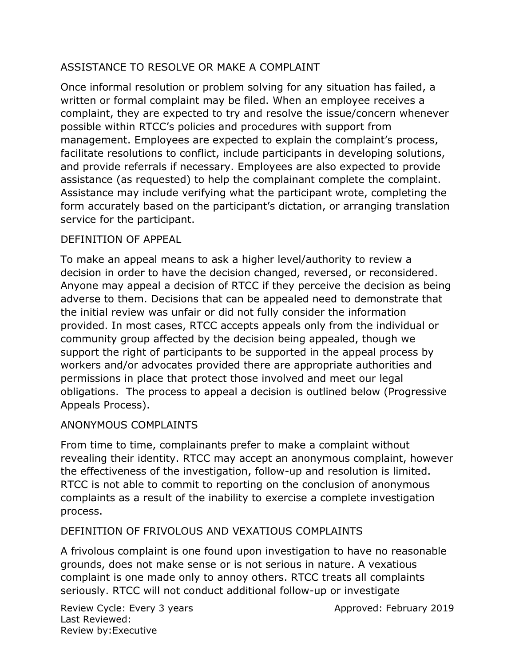# ASSISTANCE TO RESOLVE OR MAKE A COMPLAINT

Once informal resolution or problem solving for any situation has failed, a written or formal complaint may be filed. When an employee receives a complaint, they are expected to try and resolve the issue/concern whenever possible within RTCC's policies and procedures with support from management. Employees are expected to explain the complaint's process, facilitate resolutions to conflict, include participants in developing solutions, and provide referrals if necessary. Employees are also expected to provide assistance (as requested) to help the complainant complete the complaint. Assistance may include verifying what the participant wrote, completing the form accurately based on the participant's dictation, or arranging translation service for the participant.

# DEFINITION OF APPEAL

To make an appeal means to ask a higher level/authority to review a decision in order to have the decision changed, reversed, or reconsidered. Anyone may appeal a decision of RTCC if they perceive the decision as being adverse to them. Decisions that can be appealed need to demonstrate that the initial review was unfair or did not fully consider the information provided. In most cases, RTCC accepts appeals only from the individual or community group affected by the decision being appealed, though we support the right of participants to be supported in the appeal process by workers and/or advocates provided there are appropriate authorities and permissions in place that protect those involved and meet our legal obligations. The process to appeal a decision is outlined below (Progressive Appeals Process).

# ANONYMOUS COMPLAINTS

From time to time, complainants prefer to make a complaint without revealing their identity. RTCC may accept an anonymous complaint, however the effectiveness of the investigation, follow-up and resolution is limited. RTCC is not able to commit to reporting on the conclusion of anonymous complaints as a result of the inability to exercise a complete investigation process.

# DEFINITION OF FRIVOLOUS AND VEXATIOUS COMPLAINTS

A frivolous complaint is one found upon investigation to have no reasonable grounds, does not make sense or is not serious in nature. A vexatious complaint is one made only to annoy others. RTCC treats all complaints seriously. RTCC will not conduct additional follow-up or investigate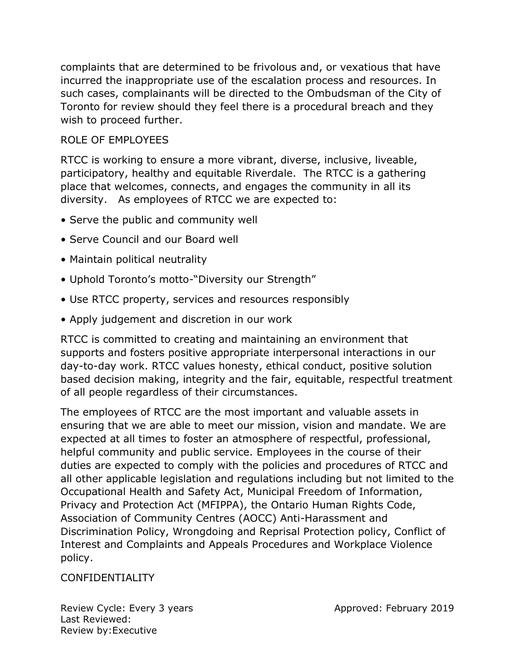complaints that are determined to be frivolous and, or vexatious that have incurred the inappropriate use of the escalation process and resources. In such cases, complainants will be directed to the Ombudsman of the City of Toronto for review should they feel there is a procedural breach and they wish to proceed further.

# ROLE OF EMPLOYEES

RTCC is working to ensure a more vibrant, diverse, inclusive, liveable, participatory, healthy and equitable Riverdale. The RTCC is a gathering place that welcomes, connects, and engages the community in all its diversity. As employees of RTCC we are expected to:

- Serve the public and community well
- Serve Council and our Board well
- Maintain political neutrality
- Uphold Toronto's motto-"Diversity our Strength"
- Use RTCC property, services and resources responsibly
- Apply judgement and discretion in our work

RTCC is committed to creating and maintaining an environment that supports and fosters positive appropriate interpersonal interactions in our day-to-day work. RTCC values honesty, ethical conduct, positive solution based decision making, integrity and the fair, equitable, respectful treatment of all people regardless of their circumstances.

The employees of RTCC are the most important and valuable assets in ensuring that we are able to meet our mission, vision and mandate. We are expected at all times to foster an atmosphere of respectful, professional, helpful community and public service. Employees in the course of their duties are expected to comply with the policies and procedures of RTCC and all other applicable legislation and regulations including but not limited to the Occupational Health and Safety Act, Municipal Freedom of Information, Privacy and Protection Act (MFIPPA), the Ontario Human Rights Code, Association of Community Centres (AOCC) Anti-Harassment and Discrimination Policy, Wrongdoing and Reprisal Protection policy, Conflict of Interest and Complaints and Appeals Procedures and Workplace Violence policy.

#### CONFIDENTIALITY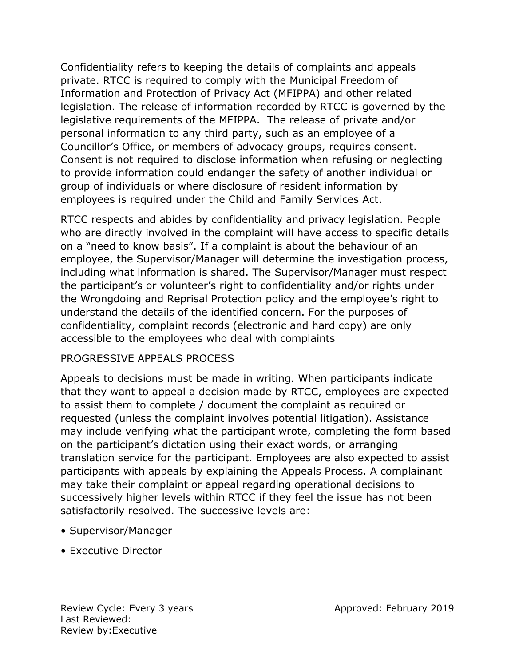Confidentiality refers to keeping the details of complaints and appeals private. RTCC is required to comply with the Municipal Freedom of Information and Protection of Privacy Act (MFIPPA) and other related legislation. The release of information recorded by RTCC is governed by the legislative requirements of the MFIPPA. The release of private and/or personal information to any third party, such as an employee of a Councillor's Office, or members of advocacy groups, requires consent. Consent is not required to disclose information when refusing or neglecting to provide information could endanger the safety of another individual or group of individuals or where disclosure of resident information by employees is required under the Child and Family Services Act.

RTCC respects and abides by confidentiality and privacy legislation. People who are directly involved in the complaint will have access to specific details on a "need to know basis". If a complaint is about the behaviour of an employee, the Supervisor/Manager will determine the investigation process, including what information is shared. The Supervisor/Manager must respect the participant's or volunteer's right to confidentiality and/or rights under the Wrongdoing and Reprisal Protection policy and the employee's right to understand the details of the identified concern. For the purposes of confidentiality, complaint records (electronic and hard copy) are only accessible to the employees who deal with complaints

# PROGRESSIVE APPEALS PROCESS

Appeals to decisions must be made in writing. When participants indicate that they want to appeal a decision made by RTCC, employees are expected to assist them to complete / document the complaint as required or requested (unless the complaint involves potential litigation). Assistance may include verifying what the participant wrote, completing the form based on the participant's dictation using their exact words, or arranging translation service for the participant. Employees are also expected to assist participants with appeals by explaining the Appeals Process. A complainant may take their complaint or appeal regarding operational decisions to successively higher levels within RTCC if they feel the issue has not been satisfactorily resolved. The successive levels are:

- Supervisor/Manager
- Executive Director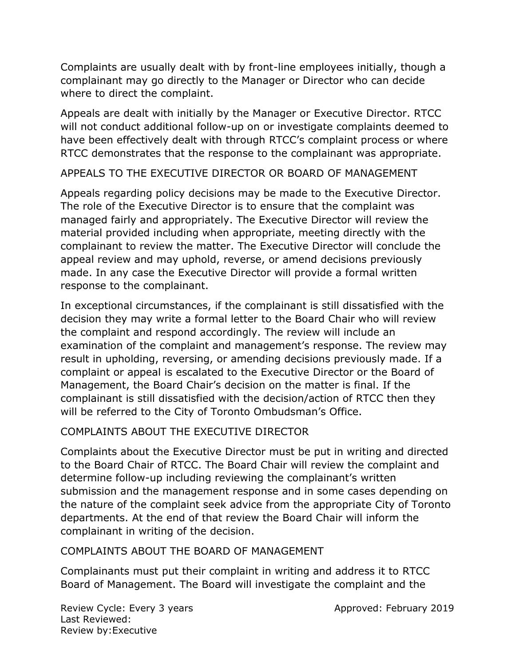Complaints are usually dealt with by front-line employees initially, though a complainant may go directly to the Manager or Director who can decide where to direct the complaint.

Appeals are dealt with initially by the Manager or Executive Director. RTCC will not conduct additional follow-up on or investigate complaints deemed to have been effectively dealt with through RTCC's complaint process or where RTCC demonstrates that the response to the complainant was appropriate.

APPEALS TO THE EXECUTIVE DIRECTOR OR BOARD OF MANAGEMENT

Appeals regarding policy decisions may be made to the Executive Director. The role of the Executive Director is to ensure that the complaint was managed fairly and appropriately. The Executive Director will review the material provided including when appropriate, meeting directly with the complainant to review the matter. The Executive Director will conclude the appeal review and may uphold, reverse, or amend decisions previously made. In any case the Executive Director will provide a formal written response to the complainant.

In exceptional circumstances, if the complainant is still dissatisfied with the decision they may write a formal letter to the Board Chair who will review the complaint and respond accordingly. The review will include an examination of the complaint and management's response. The review may result in upholding, reversing, or amending decisions previously made. If a complaint or appeal is escalated to the Executive Director or the Board of Management, the Board Chair's decision on the matter is final. If the complainant is still dissatisfied with the decision/action of RTCC then they will be referred to the City of Toronto Ombudsman's Office.

# COMPLAINTS ABOUT THE EXECUTIVE DIRECTOR

Complaints about the Executive Director must be put in writing and directed to the Board Chair of RTCC. The Board Chair will review the complaint and determine follow-up including reviewing the complainant's written submission and the management response and in some cases depending on the nature of the complaint seek advice from the appropriate City of Toronto departments. At the end of that review the Board Chair will inform the complainant in writing of the decision.

# COMPLAINTS ABOUT THE BOARD OF MANAGEMENT

Complainants must put their complaint in writing and address it to RTCC Board of Management. The Board will investigate the complaint and the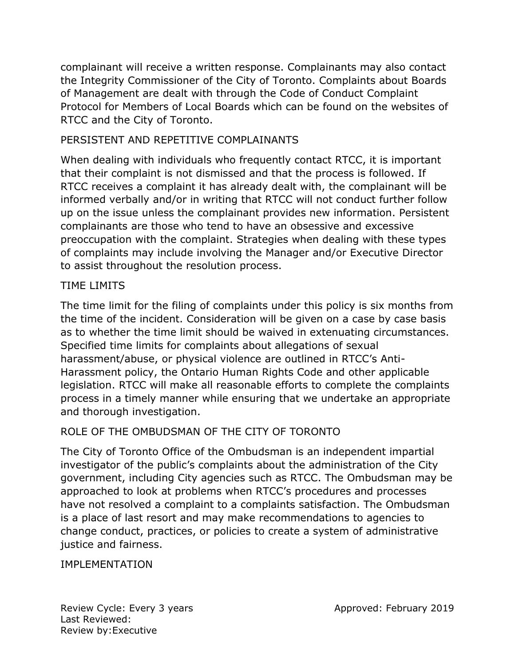complainant will receive a written response. Complainants may also contact the Integrity Commissioner of the City of Toronto. Complaints about Boards of Management are dealt with through the Code of Conduct Complaint Protocol for Members of Local Boards which can be found on the websites of RTCC and the City of Toronto.

# PERSISTENT AND REPETITIVE COMPLAINANTS

When dealing with individuals who frequently contact RTCC, it is important that their complaint is not dismissed and that the process is followed. If RTCC receives a complaint it has already dealt with, the complainant will be informed verbally and/or in writing that RTCC will not conduct further follow up on the issue unless the complainant provides new information. Persistent complainants are those who tend to have an obsessive and excessive preoccupation with the complaint. Strategies when dealing with these types of complaints may include involving the Manager and/or Executive Director to assist throughout the resolution process.

# TIME LIMITS

The time limit for the filing of complaints under this policy is six months from the time of the incident. Consideration will be given on a case by case basis as to whether the time limit should be waived in extenuating circumstances. Specified time limits for complaints about allegations of sexual harassment/abuse, or physical violence are outlined in RTCC's Anti-Harassment policy, the Ontario Human Rights Code and other applicable legislation. RTCC will make all reasonable efforts to complete the complaints process in a timely manner while ensuring that we undertake an appropriate and thorough investigation.

# ROLE OF THE OMBUDSMAN OF THE CITY OF TORONTO

The City of Toronto Office of the Ombudsman is an independent impartial investigator of the public's complaints about the administration of the City government, including City agencies such as RTCC. The Ombudsman may be approached to look at problems when RTCC's procedures and processes have not resolved a complaint to a complaints satisfaction. The Ombudsman is a place of last resort and may make recommendations to agencies to change conduct, practices, or policies to create a system of administrative justice and fairness.

# **IMPLEMENTATION**